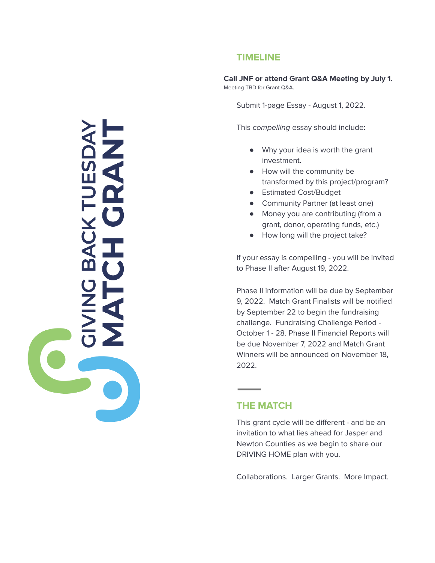### **TIMELINE**

**Call JNF or attend Grant Q&A Meeting by July 1.** Meeting TBD for Grant Q&A.

Submit 1-page Essay - August 1, 2022.

This compelling essay should include:

- Why your idea is worth the grant investment.
- How will the community be transformed by this project/program?
- Estimated Cost/Budget
- Community Partner (at least one)
- Money you are contributing (from a grant, donor, operating funds, etc.)
- How long will the project take?

If your essay is compelling - you will be invited to Phase II after August 19, 2022.

Phase II information will be due by September 9, 2022. Match Grant Finalists will be notified by September 22 to begin the fundraising challenge. Fundraising Challenge Period - October 1 - 28. Phase II Financial Reports will be due November 7, 2022 and Match Grant Winners will be announced on November 18, 2022.

#### **THE MATCH**

This grant cycle will be different - and be an invitation to what lies ahead for Jasper and Newton Counties as we begin to share our DRIVING HOME plan with you.

Collaborations. Larger Grants. More Impact.